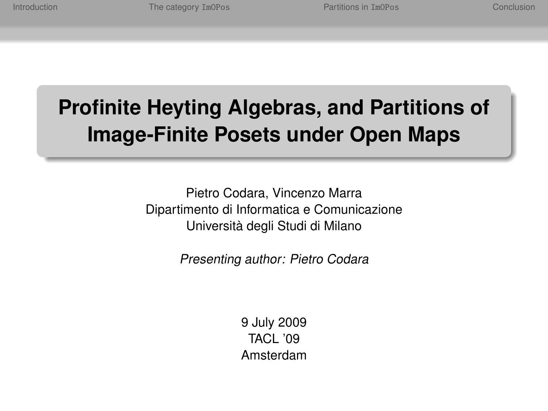# **Profinite Heyting Algebras, and Partitions of Image-Finite Posets under Open Maps**

Pietro Codara, Vincenzo Marra Dipartimento di Informatica e Comunicazione Università degli Studi di Milano

Presenting author: Pietro Codara

9 July 2009 TACL '09 Amsterdam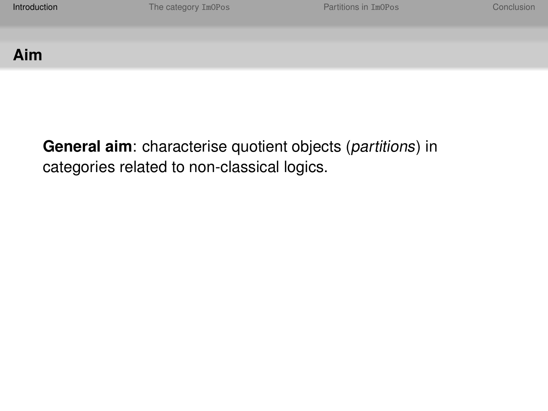# **Aim**

<span id="page-1-0"></span>**General aim**: characterise quotient objects (partitions) in categories related to non-classical logics.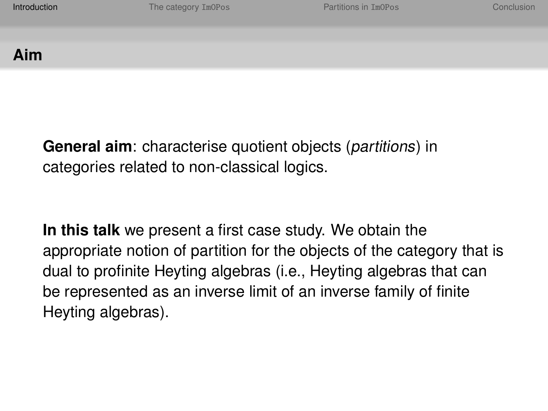## **Aim**

**General aim**: characterise quotient objects (partitions) in categories related to non-classical logics.

**In this talk** we present a first case study. We obtain the appropriate notion of partition for the objects of the category that is dual to profinite Heyting algebras (i.e., Heyting algebras that can be represented as an inverse limit of an inverse family of finite Heyting algebras).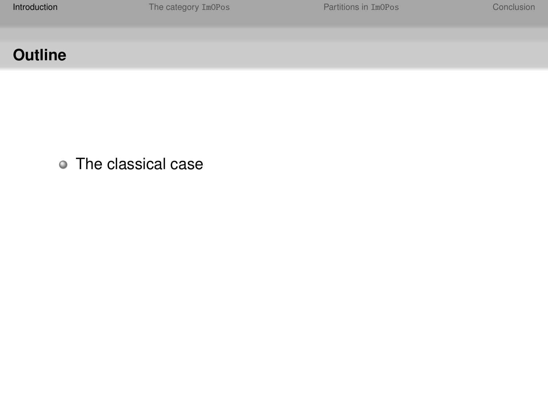The classical case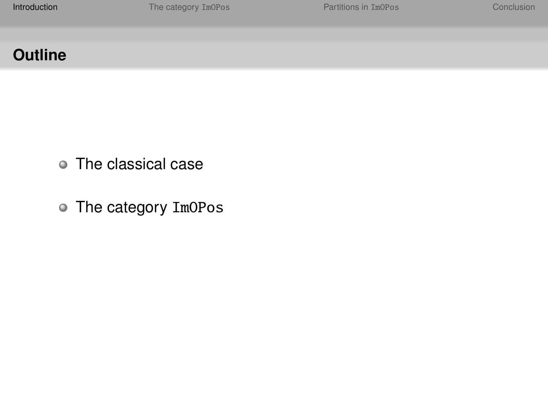- The classical case
- The category ImOPos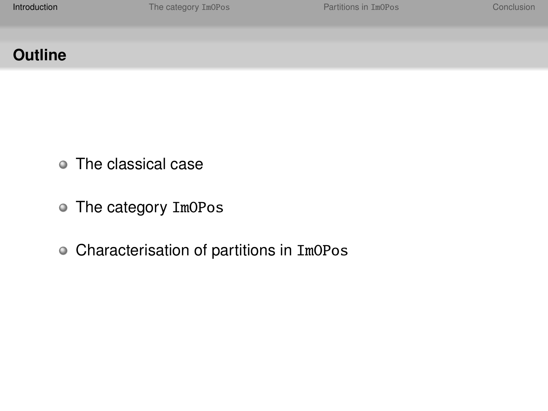- The classical case
- The category ImOPos
- Characterisation of partitions in ImOPos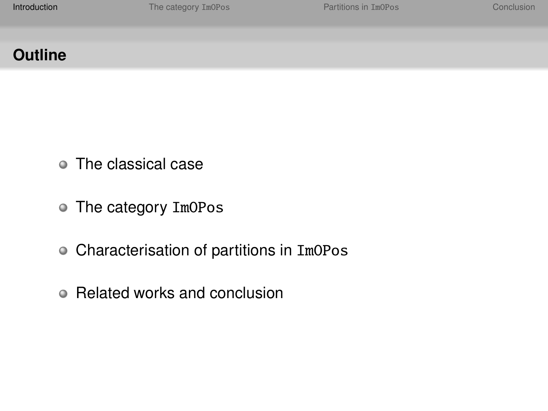- The classical case
- The category ImOPos
- Characterisation of partitions in ImOPos
- Related works and conclusion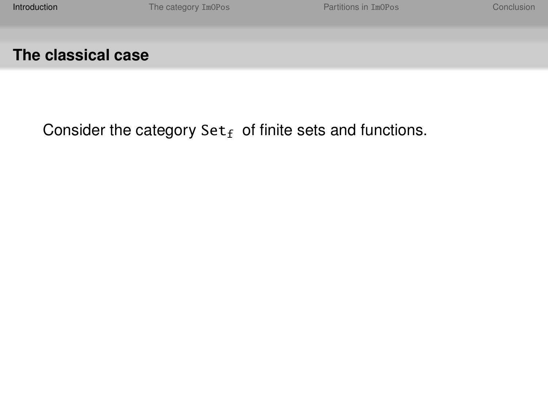Consider the category  $Set_f$  of finite sets and functions.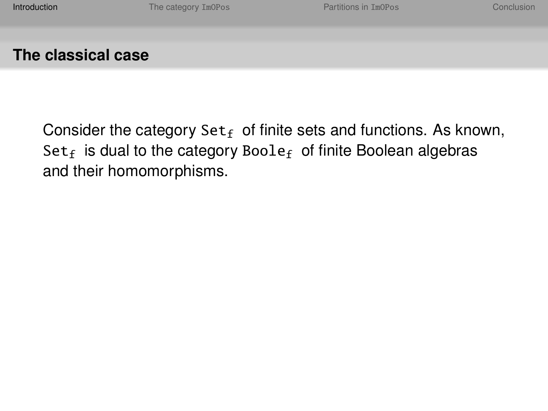Consider the category  $Set_f$  of finite sets and functions. As known,  $Set_f$  is dual to the category Boole<sub>f</sub> of finite Boolean algebras and their homomorphisms.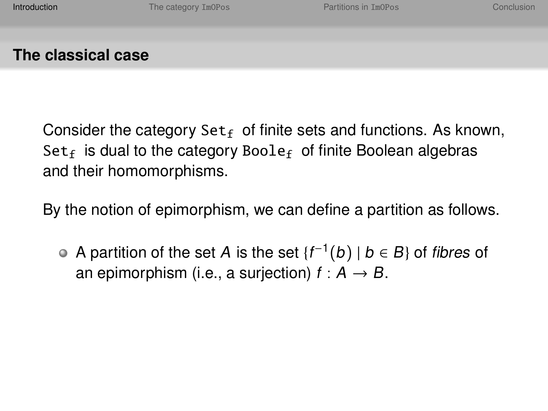Consider the category  $Set_f$  of finite sets and functions. As known, Set<sub>f</sub> is dual to the category Boole<sub>f</sub> of finite Boolean algebras and their homomorphisms.

By the notion of epimorphism, we can define a partition as follows.

A partition of the set A is the set  ${f^{-1}(b) \mid b \in B}$  of fibres of an epimorphism (i.e., a surjection)  $f : A \rightarrow B$ .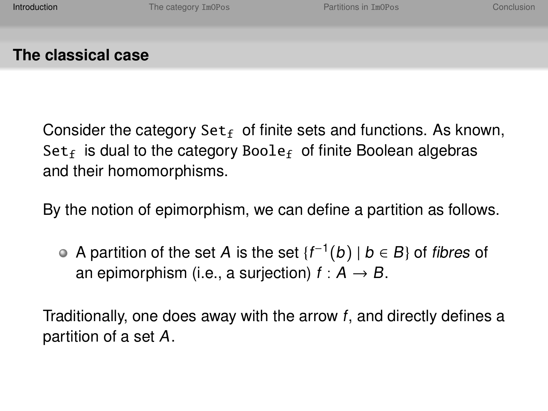Consider the category  $Set_f$  of finite sets and functions. As known, Set<sub>f</sub> is dual to the category Boole<sub>f</sub> of finite Boolean algebras and their homomorphisms.

By the notion of epimorphism, we can define a partition as follows.

A partition of the set A is the set  ${f^{-1}(b) \mid b \in B}$  of fibres of an epimorphism (i.e., a surjection)  $f : A \rightarrow B$ .

Traditionally, one does away with the arrow f, and directly defines a partition of a set A.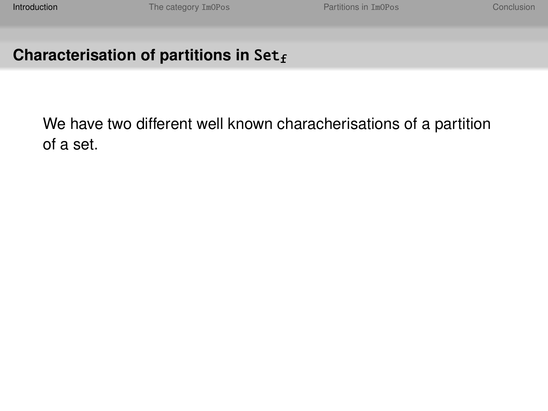We have two different well known characherisations of a partition of a set.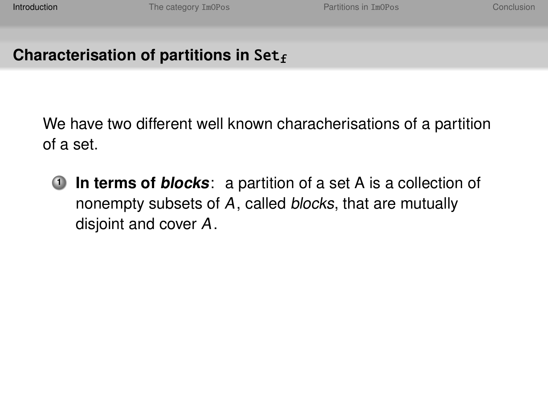We have two different well known characherisations of a partition of a set.

**1 In terms of blocks**: a partition of a set A is a collection of nonempty subsets of A, called blocks, that are mutually disjoint and cover A.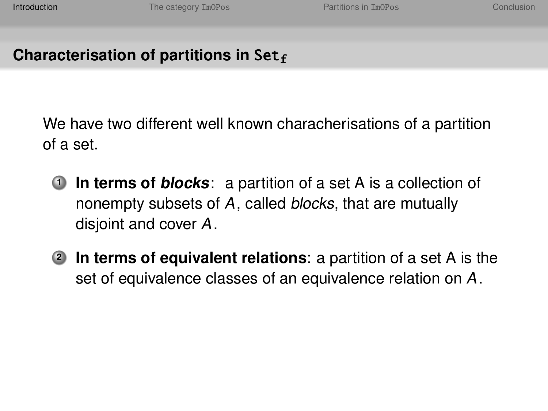We have two different well known characherisations of a partition of a set.

- **1 In terms of blocks**: a partition of a set A is a collection of nonempty subsets of A, called blocks, that are mutually disjoint and cover A.
- **<sup>2</sup> In terms of equivalent relations**: a partition of a set A is the set of equivalence classes of an equivalence relation on A.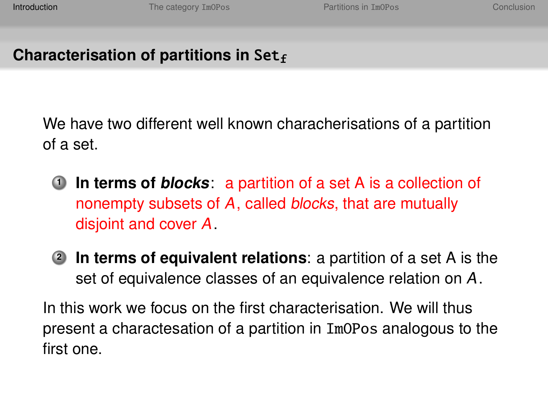We have two different well known characherisations of a partition of a set.

- **1 In terms of blocks**: a partition of a set A is a collection of nonempty subsets of A, called blocks, that are mutually disjoint and cover A.
- **<sup>2</sup> In terms of equivalent relations**: a partition of a set A is the set of equivalence classes of an equivalence relation on A.

In this work we focus on the first characterisation. We will thus present a charactesation of a partition in ImOPos analogous to the first one.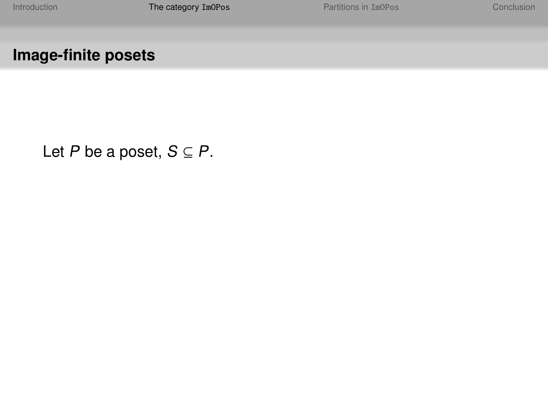# **Image-finite posets**

<span id="page-15-0"></span>Let P be a poset,  $S \subseteq P$ .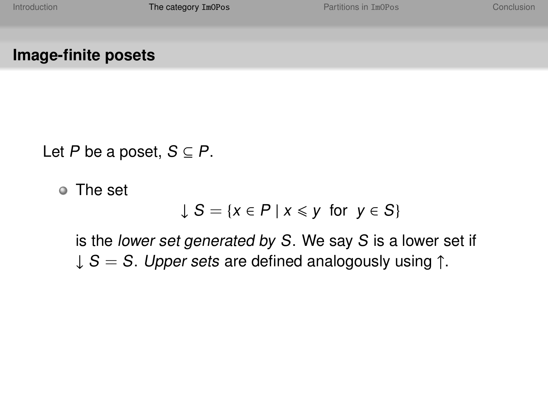**Image-finite posets**

Let P be a poset,  $S \subseteq P$ .

The set

$$
\downarrow S = \{x \in P \mid x \leq y \text{ for } y \in S\}
$$

is the lower set generated by S. We say S is a lower set if  $\downarrow$  S = S. Upper sets are defined analogously using  $\uparrow$ .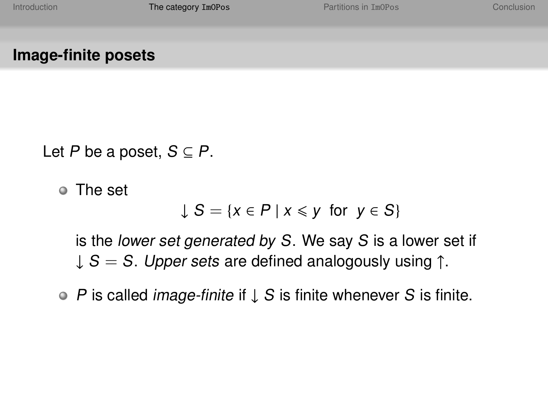**Image-finite posets**

Let P be a poset,  $S \subseteq P$ .

The set

$$
\downarrow S = \{x \in P \mid x \leq y \text{ for } y \in S\}
$$

is the lower set generated by S. We say S is a lower set if  $\downarrow$  S = S. Upper sets are defined analogously using  $\uparrow$ .

P is called image-finite if ↓ S is finite whenever S is finite.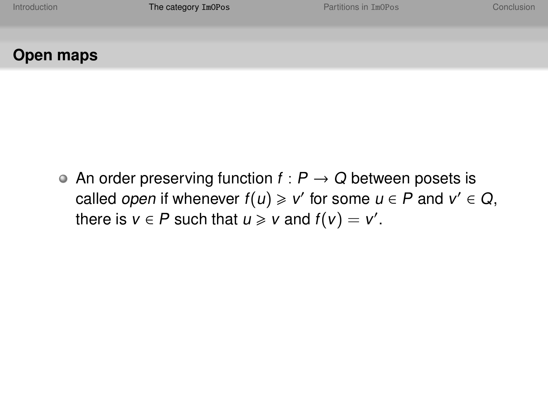# **Open maps**

• An order preserving function  $f : P \to Q$  between posets is called open if whenever  $f(u) \geq v'$  for some  $u \in P$  and  $v' \in Q$ , there is  $v \in P$  such that  $u \geq v$  and  $f(v) = v'$ .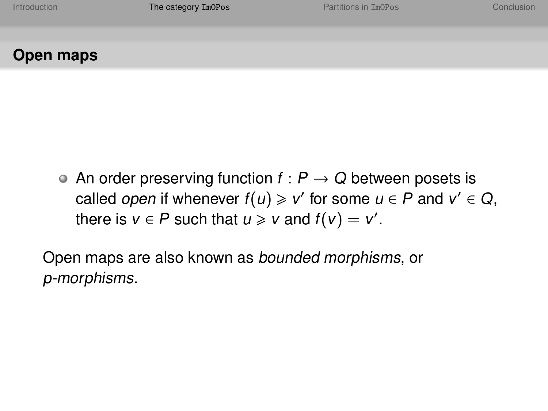# **Open maps**

• An order preserving function  $f : P \to Q$  between posets is called open if whenever  $f(u) \geq v'$  for some  $u \in P$  and  $v' \in Q$ , there is  $v \in P$  such that  $u \geq v$  and  $f(v) = v'$ .

Open maps are also known as bounded morphisms, or p-morphisms.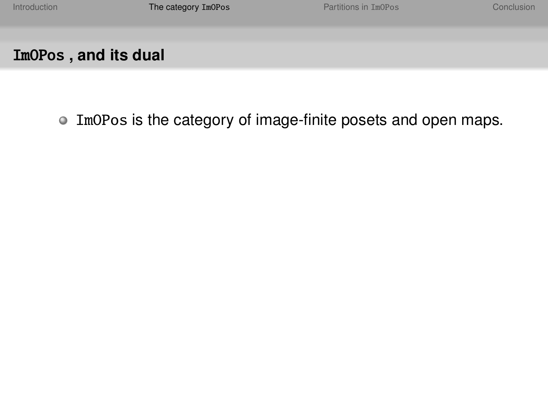• ImOPos is the category of image-finite posets and open maps.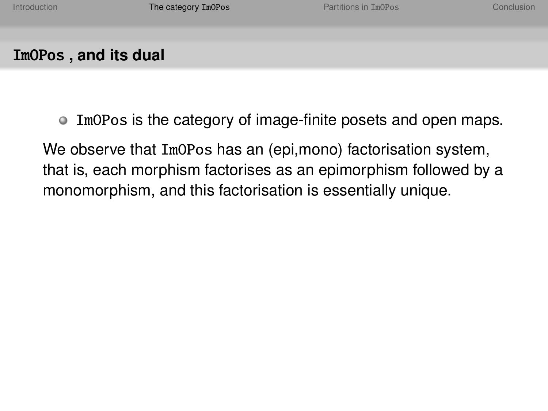- ImOPos is the category of image-finite posets and open maps.
- We observe that ImOPos has an (epi,mono) factorisation system, that is, each morphism factorises as an epimorphism followed by a monomorphism, and this factorisation is essentially unique.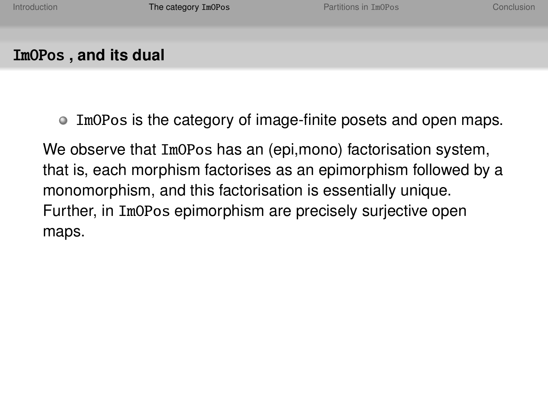$\bullet$  ImOPos is the category of image-finite posets and open maps.

We observe that ImOPos has an (epi,mono) factorisation system, that is, each morphism factorises as an epimorphism followed by a monomorphism, and this factorisation is essentially unique. Further, in ImOPos epimorphism are precisely surjective open maps.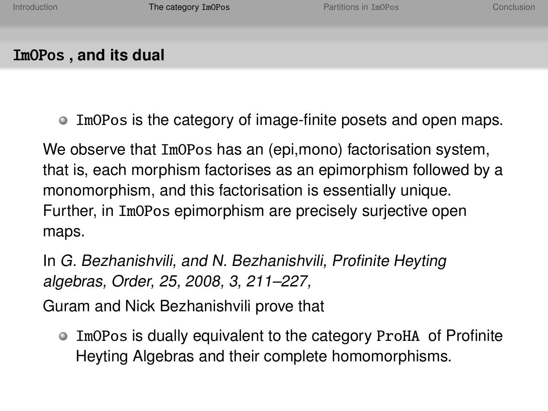$\bullet$  ImOPos is the category of image-finite posets and open maps.

We observe that ImOPos has an (epi,mono) factorisation system, that is, each morphism factorises as an epimorphism followed by a monomorphism, and this factorisation is essentially unique. Further, in ImOPos epimorphism are precisely surjective open maps.

In G. Bezhanishvili, and N. Bezhanishvili, Profinite Heyting algebras, Order, 25, 2008, 3, 211–227,

Guram and Nick Bezhanishvili prove that

• ImOPos is dually equivalent to the category ProHA of Profinite Heyting Algebras and their complete homomorphisms.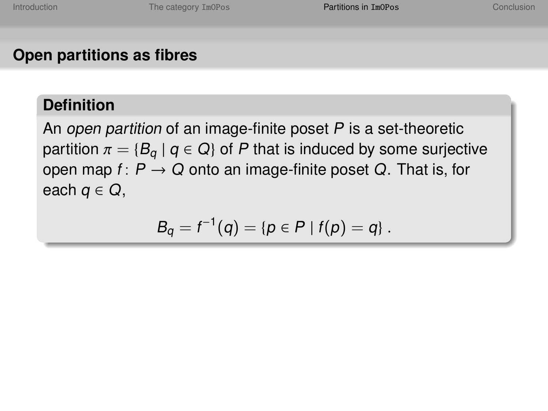# **Open partitions as fibres**

#### **Definition**

An open partition of an image-finite poset  $P$  is a set-theoretic partition  $\pi = \{B_q \mid q \in Q\}$  of P that is induced by some surjective open map  $f: P \to Q$  onto an image-finite poset Q. That is, for each  $q \in Q$ ,

<span id="page-24-0"></span>
$$
B_q = f^{-1}(q) = \{p \in P \mid f(p) = q\}.
$$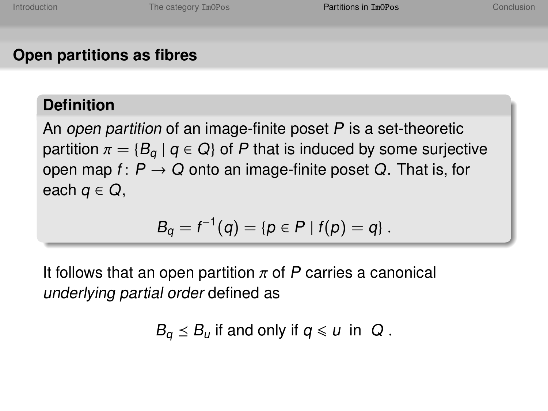# **Open partitions as fibres**

#### **Definition**

An open partition of an image-finite poset  $P$  is a set-theoretic partition  $\pi = \{B_q \mid q \in Q\}$  of P that is induced by some surjective open map  $f: P \rightarrow Q$  onto an image-finite poset Q. That is, for each  $q \in Q$ ,

$$
B_q = f^{-1}(q) = \{p \in P \mid f(p) = q\}.
$$

It follows that an open partition  $\pi$  of P carries a canonical underlying partial order defined as

$$
B_q \leq B_u \text{ if and only if } q \leq u \text{ in } Q.
$$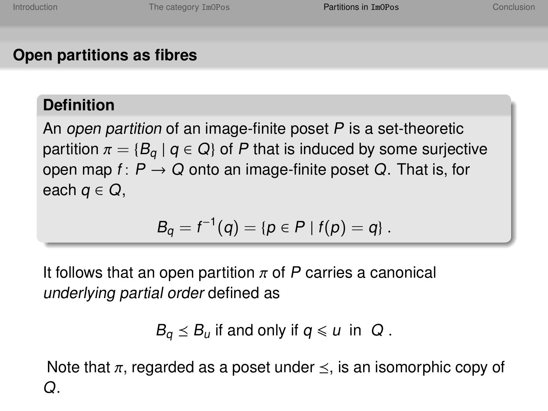# **Open partitions as fibres**

#### **Definition**

An open partition of an image-finite poset  $P$  is a set-theoretic partition  $\pi = \{B_q \mid q \in Q\}$  of P that is induced by some surjective open map  $f: P \rightarrow Q$  onto an image-finite poset Q. That is, for each  $q \in Q$ ,

$$
B_q = f^{-1}(q) = \{p \in P \mid f(p) = q\}.
$$

It follows that an open partition  $\pi$  of P carries a canonical underlying partial order defined as

$$
B_q \leq B_u \text{ if and only if } q \leq u \text{ in } Q.
$$

Note that  $\pi$ , regarded as a poset under  $\leq$ , is an isomorphic copy of  $\Omega$ .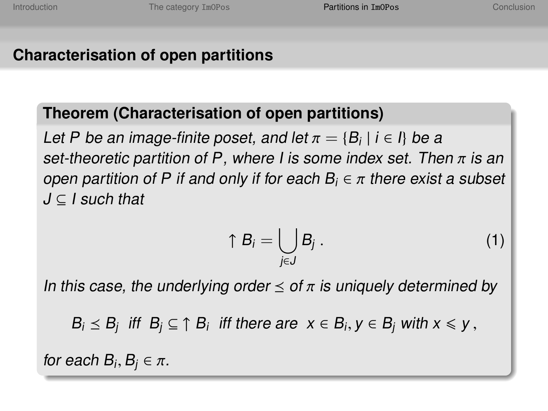# **Characterisation of open partitions**

#### **Theorem (Characterisation of open partitions)**

Let P be an image-finite poset, and let  $\pi = \{B_i \mid i \in I\}$  be a<br>set-theoretic partition of P, where Lis some index set. The set-theoretic partition of P, where I is some index set. Then  $\pi$  is an open partition of P if and only if for each  $B_i \in \pi$  there exist a subset  $J \subseteq I$  such that

<span id="page-27-0"></span>
$$
\uparrow B_i = \bigcup_{j \in J} B_j \ . \tag{1}
$$

In this case, the underlying order  $\leq$  of  $\pi$  is uniquely determined by

 $B_i \leq B_j$  iff  $B_j \subseteq \uparrow B_i$  iff there are  $x \in B_i$ ,  $y \in B_j$  with  $x \leq y$ ,

for each  $B_i, B_j \in \pi$ .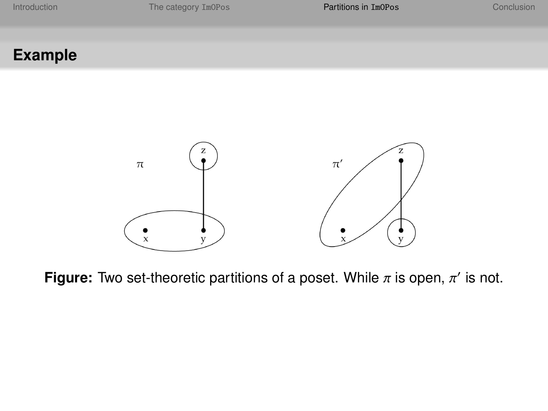## **Example**



**Figure:** Two set-theoretic partitions of a poset. While  $\pi$  is open,  $\pi'$  is not.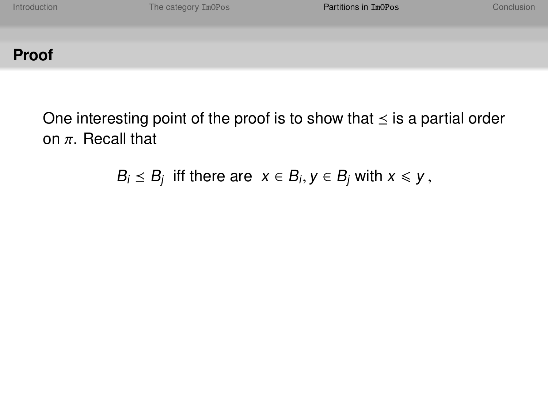One interesting point of the proof is to show that  $\leq$  is a partial order on  $\pi$ . Recall that

 $B_i \leq B_j$  iff there are  $x \in B_i$ ,  $y \in B_j$  with  $x \leq y$ ,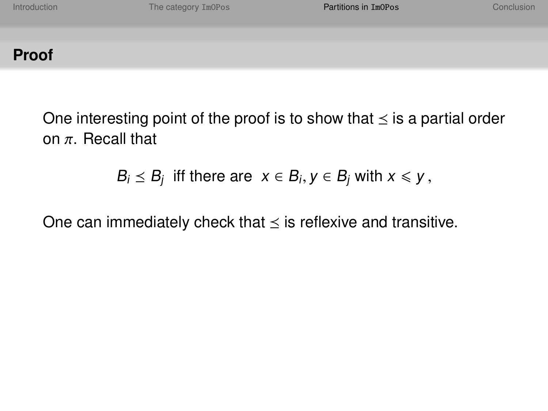One interesting point of the proof is to show that  $\leq$  is a partial order on  $\pi$ . Recall that

$$
B_i \leq B_j \text{ iff there are } x \in B_i, y \in B_j \text{ with } x \leq y,
$$

One can immediately check that  $\leq$  is reflexive and transitive.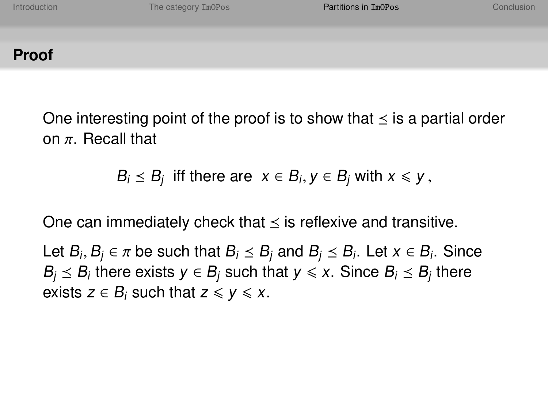One interesting point of the proof is to show that  $\leq$  is a partial order on  $\pi$  Recall that

$$
B_i \leq B_j \text{ iff there are } x \in B_i, y \in B_j \text{ with } x \leq y,
$$

One can immediately check that  $\leq$  is reflexive and transitive.

Let  $B_i$ ,  $B_j \in \pi$  be such that  $B_i \le B_j$  and  $B_j \le B_i$ . Let  $x \in B_i$ . Since  $B_i \times B_i$  there  $B_j \leq B_i$  there exists  $y \in B_j$  such that  $y \leqslant x$ . Since  $B_i \leq B_j$  there exists  $z \in B_i$  such that  $z \leq y \leq x$ .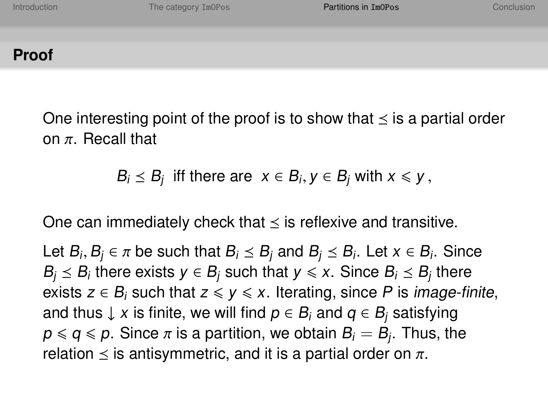One interesting point of the proof is to show that  $\leq$  is a partial order on  $\pi$  Recall that

$$
B_i \leq B_j \text{ iff there are } x \in B_i, y \in B_j \text{ with } x \leq y,
$$

One can immediately check that  $\leq$  is reflexive and transitive.

Let  $B_i$ ,  $B_j \in \pi$  be such that  $B_i \le B_j$  and  $B_j \le B_i$ . Let  $x \in B_i$ . Since  $B_i \times B_i$  there  $B_j \leq B_i$  there exists  $y \in B_j$  such that  $y \leqslant x$ . Since  $B_i \leq B_j$  there exists  $z \in B_i$  such that  $z \leq y \leq x$ . Iterating, since P is *image-finite*, and thus  $\downarrow$  x is finite, we will find  $p \in B_i$  and  $q \in B_i$  satisfying  $p \le q \le p$ . Since  $\pi$  is a partition, we obtain  $B_i = \dot{B_i}$ . Thus, the relation  $\le$  is antisymmetric, and it is a partial order on  $\pi$ . relation  $\leq$  is antisymmetric, and it is a partial order on  $\pi$ .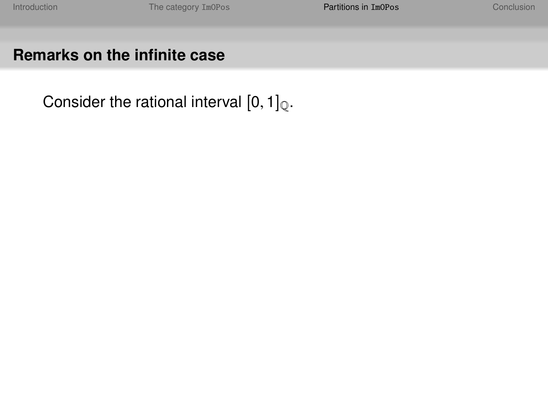Consider the rational interval  $[0, 1]_{\mathbb{Q}}$ .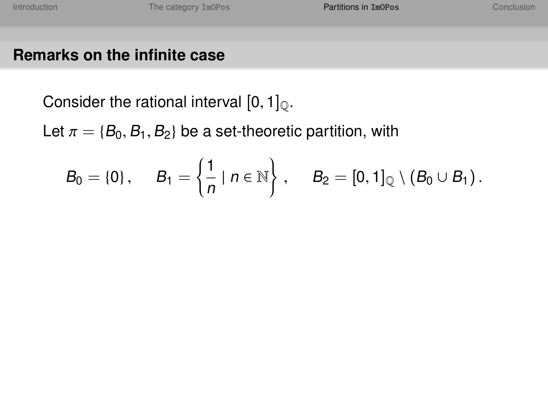Consider the rational interval  $[0, 1]_{\odot}$ .

Let  $\pi = \{B_0, B_1, B_2\}$  be a set-theoretic partition, with

$$
B_0 = \{0\}, \quad B_1 = \left\{\frac{1}{n} \mid n \in \mathbb{N}\right\}, \quad B_2 = [0,1]_{\mathbb{Q}} \setminus (B_0 \cup B_1).
$$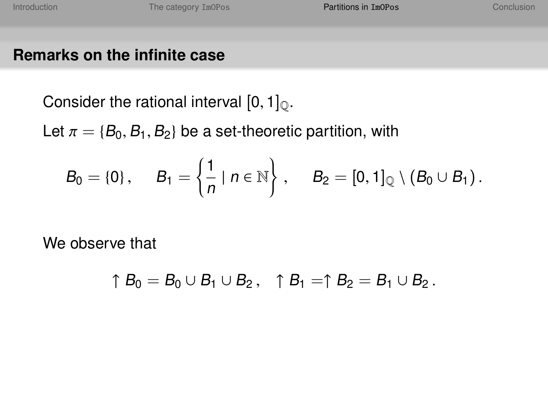Consider the rational interval  $[0, 1]_{\odot}$ .

Let  $\pi = \{B_0, B_1, B_2\}$  be a set-theoretic partition, with

$$
B_0 = \{0\}, \quad B_1 = \left\{\frac{1}{n} \mid n \in \mathbb{N}\right\}, \quad B_2 = [0,1]_{\mathbb{Q}} \setminus (B_0 \cup B_1).
$$

We observe that

$$
\uparrow B_0=B_0\cup B_1\cup B_2\,,\quad \uparrow B_1=\uparrow B_2=B_1\cup B_2\,.
$$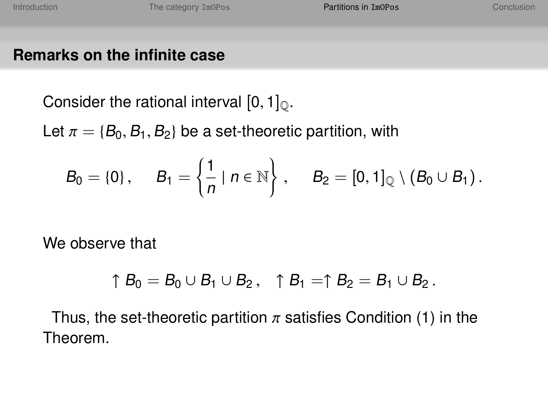Consider the rational interval  $[0, 1]_0$ .

Let  $\pi = \{B_0, B_1, B_2\}$  be a set-theoretic partition, with

$$
B_0=\{0\},\hspace{0.5cm}B_1=\left\{\frac{1}{n}\mid n\in\mathbb{N}\right\},\hspace{0.5cm}B_2=[0,1]_\mathbb{Q}\setminus\left(B_0\cup B_1\right).
$$

We observe that

$$
\uparrow B_0=B_0\cup B_1\cup B_2\,,\quad \uparrow B_1=\uparrow B_2=B_1\cup B_2\,.
$$

Thus, the set-theoretic partition  $\pi$  satisfies Condition [\(1\)](#page-27-0) in the Theorem.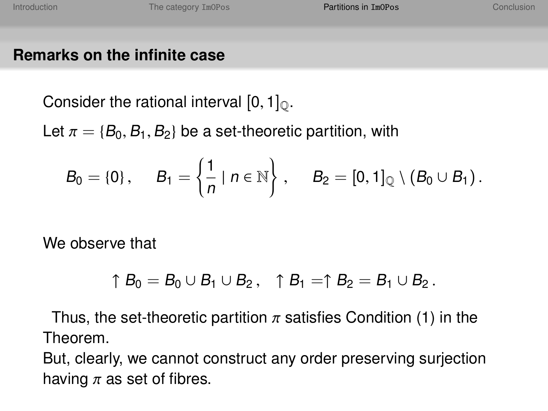Consider the rational interval  $[0, 1]_0$ .

Let  $\pi = \{B_0, B_1, B_2\}$  be a set-theoretic partition, with

$$
B_0=\{0\},\hspace{0.5cm}B_1=\left\{\frac{1}{n}\mid n\in\mathbb{N}\right\},\hspace{0.5cm}B_2=[0,1]_\mathbb{Q}\setminus\left(B_0\cup B_1\right).
$$

We observe that

$$
\uparrow B_0=B_0\cup B_1\cup B_2\,,\quad \uparrow B_1=\uparrow B_2=B_1\cup B_2\,.
$$

Thus, the set-theoretic partition  $\pi$  satisfies Condition [\(1\)](#page-27-0) in the Theorem.

But, clearly, we cannot construct any order preserving surjection having  $\pi$  as set of fibres.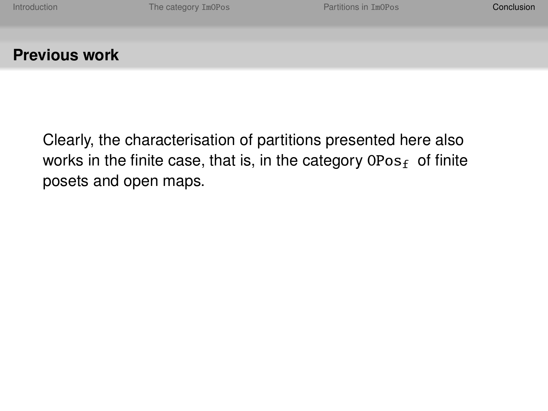#### **Previous work**

<span id="page-38-0"></span>Clearly, the characterisation of partitions presented here also works in the finite case, that is, in the category  $0Pos_f$  of finite posets and open maps.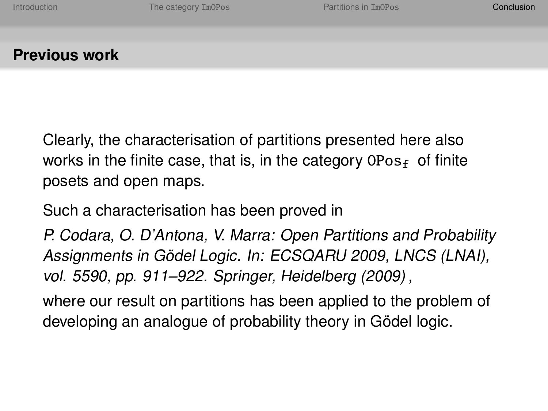#### **Previous work**

Clearly, the characterisation of partitions presented here also works in the finite case, that is, in the category  $0Pos_{f}$  of finite posets and open maps.

Such a characterisation has been proved in

P. Codara, O. D'Antona, V. Marra: Open Partitions and Probability Assignments in Gödel Logic. In: ECSQARU 2009, LNCS (LNAI), vol. 5590, pp. 911–922. Springer, Heidelberg (2009) ,

where our result on partitions has been applied to the problem of developing an analogue of probability theory in Gödel logic.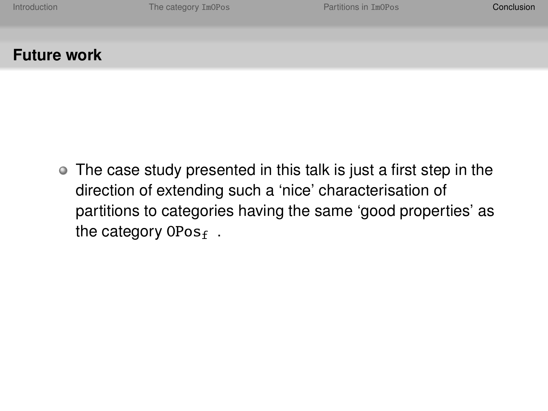#### **Future work**

The case study presented in this talk is just a first step in the direction of extending such a 'nice' characterisation of partitions to categories having the same 'good properties' as the category  $0Pos_f$ .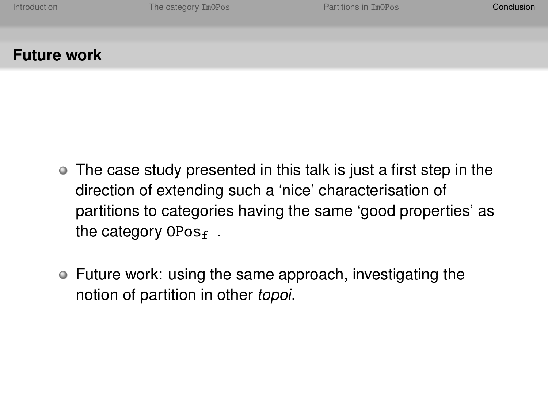## **Future work**

- The case study presented in this talk is just a first step in the direction of extending such a 'nice' characterisation of partitions to categories having the same 'good properties' as the category  $0Pos_f$ .
- Future work: using the same approach, investigating the notion of partition in other topoi.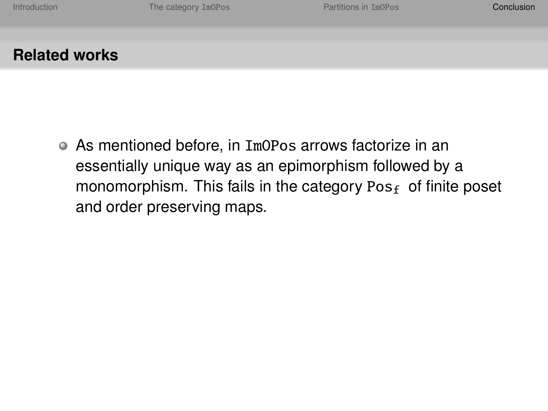As mentioned before, in ImOPos arrows factorize in an essentially unique way as an epimorphism followed by a monomorphism. This fails in the category  $Pos<sub>f</sub>$  of finite poset and order preserving maps.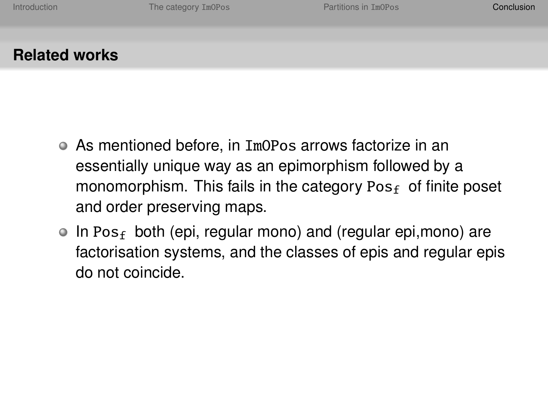- As mentioned before, in ImOPos arrows factorize in an essentially unique way as an epimorphism followed by a monomorphism. This fails in the category  $Pos<sub>f</sub>$  of finite poset and order preserving maps.
- $\bullet$  In Pos<sub>f</sub> both (epi, regular mono) and (regular epi, mono) are factorisation systems, and the classes of epis and regular epis do not coincide.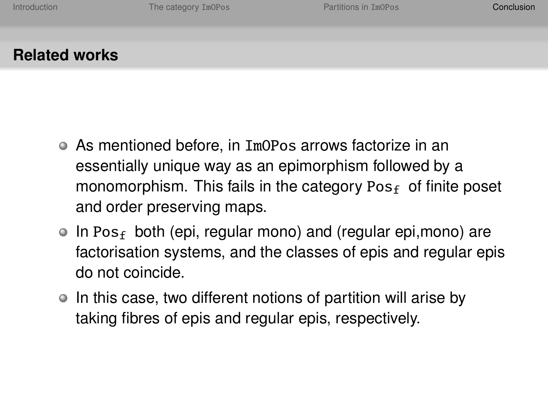- As mentioned before, in ImOPos arrows factorize in an essentially unique way as an epimorphism followed by a monomorphism. This fails in the category  $Pos<sub>f</sub>$  of finite poset and order preserving maps.
- $\bullet$  In Pos<sub>f</sub> both (epi, regular mono) and (regular epi, mono) are factorisation systems, and the classes of epis and regular epis do not coincide.
- $\bullet$  In this case, two different notions of partition will arise by taking fibres of epis and regular epis, respectively.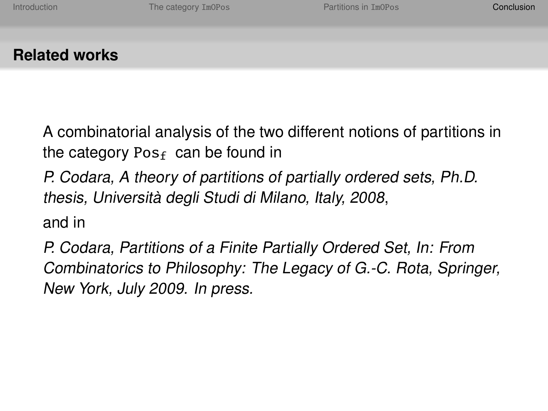A combinatorial analysis of the two different notions of partitions in the category Pos<sub>f</sub> can be found in

P. Codara, A theory of partitions of partially ordered sets, Ph.D. thesis, Università degli Studi di Milano, Italy, 2008,

and in

P. Codara, Partitions of a Finite Partially Ordered Set, In: From Combinatorics to Philosophy: The Legacy of G.-C. Rota, Springer, New York, July 2009. In press.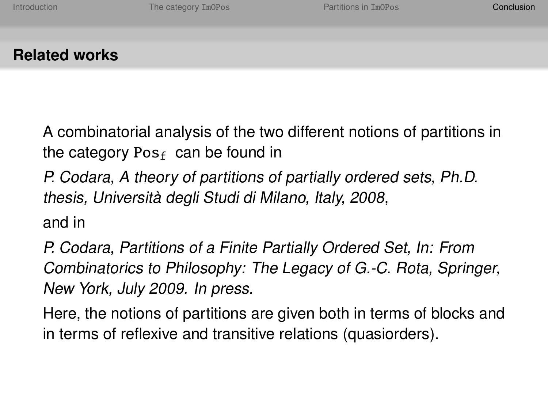A combinatorial analysis of the two different notions of partitions in the category Pos<sub>f</sub> can be found in

P. Codara, A theory of partitions of partially ordered sets, Ph.D. thesis, Università degli Studi di Milano, Italy, 2008,

and in

P. Codara, Partitions of a Finite Partially Ordered Set, In: From Combinatorics to Philosophy: The Legacy of G.-C. Rota, Springer, New York, July 2009. In press.

Here, the notions of partitions are given both in terms of blocks and in terms of reflexive and transitive relations (quasiorders).